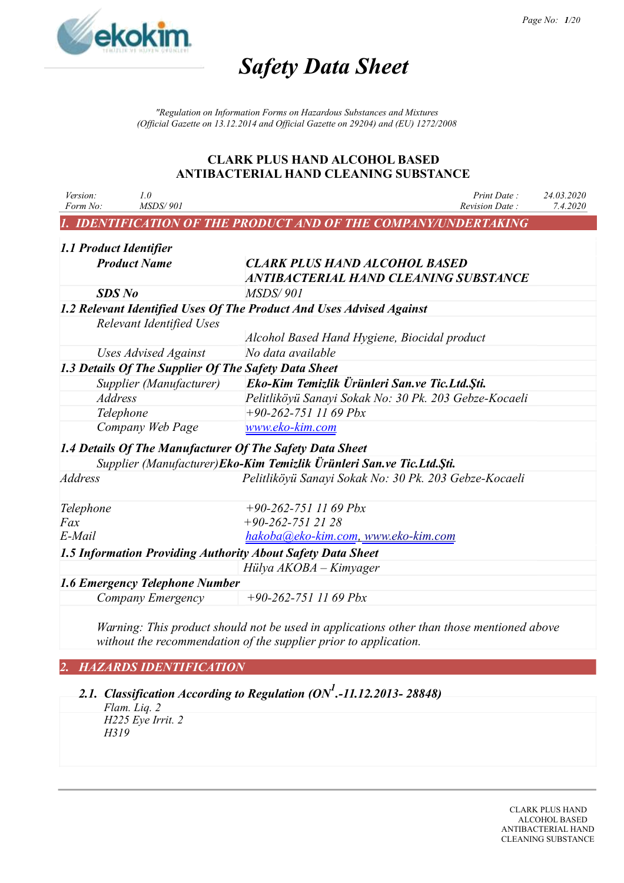

*"Regulation on Information Forms on Hazardous Substances and Mixtures (Official Gazette on 13.12.2014 and Official Gazette on 29204) and (EU) 1272/2008*

### **CLARK PLUS HAND ALCOHOL BASED ANTIBACTERIAL HAND CLEANING SUBSTANCE**

| Version:<br>Form No:   | 1.0<br>MSDS/901                 | Print Date:<br>Revision Date:                                                 | 24.03.2020<br>7.4.2020 |
|------------------------|---------------------------------|-------------------------------------------------------------------------------|------------------------|
|                        |                                 | <b>IDENTIFICATION OF THE PRODUCT AND OF THE COMPANY/UNDERTAKING</b>           |                        |
| 1.1 Product Identifier |                                 |                                                                               |                        |
|                        | <b>Product Name</b>             | <b>CLARK PLUS HAND ALCOHOL BASED</b><br>ANTIBACTERIAL HAND CLEANING SUBSTANCE |                        |
| <b>SDS</b> No          |                                 | <b>MSDS/901</b>                                                               |                        |
|                        |                                 | 1.2 Relevant Identified Uses Of The Product And Uses Advised Against          |                        |
|                        | <b>Relevant Identified Uses</b> |                                                                               |                        |
|                        |                                 | Alcohol Based Hand Hygiene, Biocidal product                                  |                        |
|                        | Uses Advised Against            | No data available                                                             |                        |
|                        |                                 | 1.3 Details Of The Supplier Of The Safety Data Sheet                          |                        |
|                        | Supplier (Manufacturer)         | Eko-Kim Temizlik Ürünleri San.ve Tic.Ltd.Şti.                                 |                        |
| <b>Address</b>         |                                 | Pelitliköyü Sanayi Sokak No: 30 Pk. 203 Gebze-Kocaeli                         |                        |
| Telephone              |                                 | $+90-262-7511169$ Pbx                                                         |                        |
|                        | Company Web Page                | www.eko-kim.com                                                               |                        |
|                        |                                 | 1.4 Details Of The Manufacturer Of The Safety Data Sheet                      |                        |
|                        |                                 | Supplier (Manufacturer)Eko-Kim Temizlik Ürünleri San.ve Tic.Ltd.Şti.          |                        |
| <b>Address</b>         |                                 | Pelitliköyü Sanayi Sokak No: 30 Pk. 203 Gebze-Kocaeli                         |                        |
| Telephone              |                                 | $+90-262-7511169$ Pbx                                                         |                        |
| Fax                    |                                 | $+90-262-7512128$                                                             |                        |
| $E$ -Mail              |                                 | hakoba@eko-kim.com, www.eko-kim.com                                           |                        |
|                        |                                 | 1.5 Information Providing Authority About Safety Data Sheet                   |                        |
|                        |                                 | Hülya $AKOBA - Kimyager$                                                      |                        |
|                        | 1.6 Emergency Telephone Number  |                                                                               |                        |
|                        | Company Emergency               | $+90-262-7511169$ Pbx                                                         |                        |
|                        |                                 |                                                                               |                        |

*Warning: This product should not be used in applications other than those mentioned above without the recommendation of the supplier prior to application.*

# *2. HAZARDS IDENTIFICATION*

*2.1. Classification According to Regulation (ON<sup>1</sup> .-11.12.2013- 28848)*

*Flam. Liq. 2 H225 Eye Irrit. 2 H319*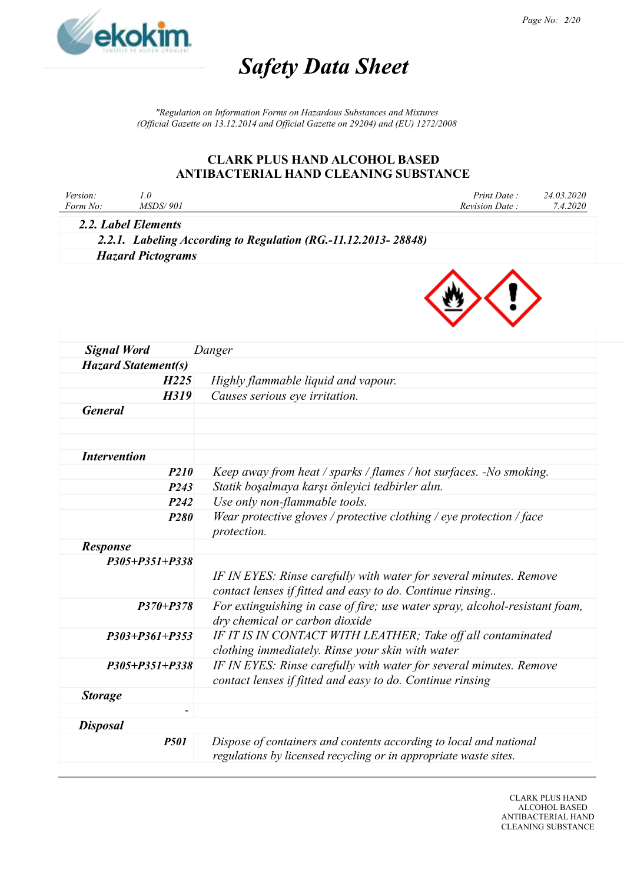

*"Regulation on Information Forms on Hazardous Substances and Mixtures (Official Gazette on 13.12.2014 and Official Gazette on 29204) and (EU) 1272/2008*

### **CLARK PLUS HAND ALCOHOL BASED ANTIBACTERIAL HAND CLEANING SUBSTANCE**

| Version: | <i>MSDS/ 901</i>    | Print Date     | 24.03.2020 |
|----------|---------------------|----------------|------------|
| Form No: |                     | Revision Date: | 7.4.2020   |
|          | 2.2. Label Elements |                |            |

*2.2.1. Labeling According to Regulation (RG.-11.12.2013- 28848) Hazard Pictograms*



| <b>Signal Word</b>         | Danger                                                                      |
|----------------------------|-----------------------------------------------------------------------------|
| <b>Hazard Statement(s)</b> |                                                                             |
| H225                       | Highly flammable liquid and vapour.                                         |
| H319                       | Causes serious eye irritation.                                              |
| <b>General</b>             |                                                                             |
|                            |                                                                             |
|                            |                                                                             |
| <b>Intervention</b>        |                                                                             |
| <b>P210</b>                | Keep away from heat / sparks / flames / hot surfaces. -No smoking.          |
| P <sub>243</sub>           | Statik boşalmaya karşı önleyici tedbirler alın.                             |
| P <sub>242</sub>           | Use only non-flammable tools.                                               |
| <b>P280</b>                | Wear protective gloves / protective clothing / eye protection / face        |
|                            | protection.                                                                 |
| <b>Response</b>            |                                                                             |
| $P305 + P351 + P338$       |                                                                             |
|                            | IF IN EYES: Rinse carefully with water for several minutes. Remove          |
|                            | contact lenses if fitted and easy to do. Continue rinsing                   |
| $P370 + P378$              | For extinguishing in case of fire; use water spray, alcohol-resistant foam, |
|                            | dry chemical or carbon dioxide                                              |
| $P303 + P361 + P353$       | IF IT IS IN CONTACT WITH LEATHER; Take off all contaminated                 |
|                            | clothing immediately. Rinse your skin with water                            |
| $P305 + P351 + P338$       | IF IN EYES: Rinse carefully with water for several minutes. Remove          |
|                            | contact lenses if fitted and easy to do. Continue rinsing                   |
| <b>Storage</b>             |                                                                             |
| $\overline{\phantom{a}}$   |                                                                             |
| <b>Disposal</b>            |                                                                             |
| <b>P501</b>                | Dispose of containers and contents according to local and national          |
|                            | regulations by licensed recycling or in appropriate waste sites.            |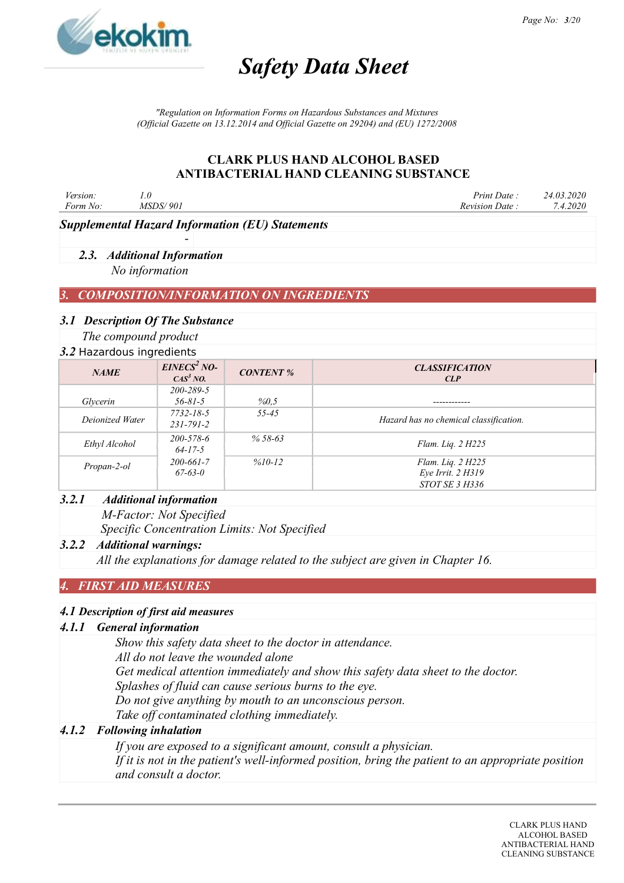

*"Regulation on Information Forms on Hazardous Substances and Mixtures (Official Gazette on 13.12.2014 and Official Gazette on 29204) and (EU) 1272/2008*

# **CLARK PLUS HAND ALCOHOL BASED ANTIBACTERIAL HAND CLEANING SUBSTANCE**

| Version: | 1.U             | Print Date .   | 24.03.2020 |
|----------|-----------------|----------------|------------|
| Form No: | <i>MSDS/901</i> | Revision Date: | 4.2020     |
|          |                 |                |            |

*Supplemental Hazard Information (EU) Statements*

-

# *2.3. Additional Information*

*No information*

# *3. COMPOSITION/INFORMATION ON INGREDIENTS*

#### *3.1 Description Of The Substance*

*The compound product*

#### *3.2* Hazardous ingredients

| <b>J.</b> Tiazaruvus Ingredictius |                                      |                  |                                                                 |  |
|-----------------------------------|--------------------------------------|------------------|-----------------------------------------------------------------|--|
| <b>NAME</b>                       | $EINES2 NO-$<br>CAS <sup>3</sup> NO. | <b>CONTENT %</b> | <b>CLASSIFICATION</b><br>CLP                                    |  |
| Glycerin                          | $200 - 289 - 5$<br>$56 - 81 - 5$     | %0,5             |                                                                 |  |
| Deionized Water                   | 7732-18-5<br>$231 - 791 - 2$         | $55 - 45$        | Hazard has no chemical classification.                          |  |
| Ethyl Alcohol                     | $200 - 578 - 6$<br>$64 - 17 - 5$     | $% 58-63$        | Flam. Lig. $2H225$                                              |  |
| Propan-2-ol                       | $200 - 661 - 7$<br>$67 - 63 - 0$     | $%10-12$         | Flam. Liq. 2 H225<br>Eye Irrit. 2 H319<br><i>STOT SE 3 H336</i> |  |

#### *3.2.1 Additional information*

*M-Factor: Not Specified Specific Concentration Limits: Not Specified*

#### *3.2.2 Additional warnings:*

*All the explanations for damage related to the subject are given in Chapter 16.*

# *4. FIRST AID MEASURES*

#### *4.1 Description of first aid measures*

#### *4.1.1 General information*

*Show this safety data sheet to the doctor in attendance.*

*All do not leave the wounded alone*

*Get medical attention immediately and show this safety data sheet to the doctor.*

*Splashes of fluid can cause serious burns to the eye.*

*Do not give anything by mouth to an unconscious person.*

*Take off contaminated clothing immediately.*

### *4.1.2 Following inhalation*

*If you are exposed to a significant amount, consult a physician. If it is not in the patient's well-informed position, bring the patient to an appropriate position and consult a doctor.*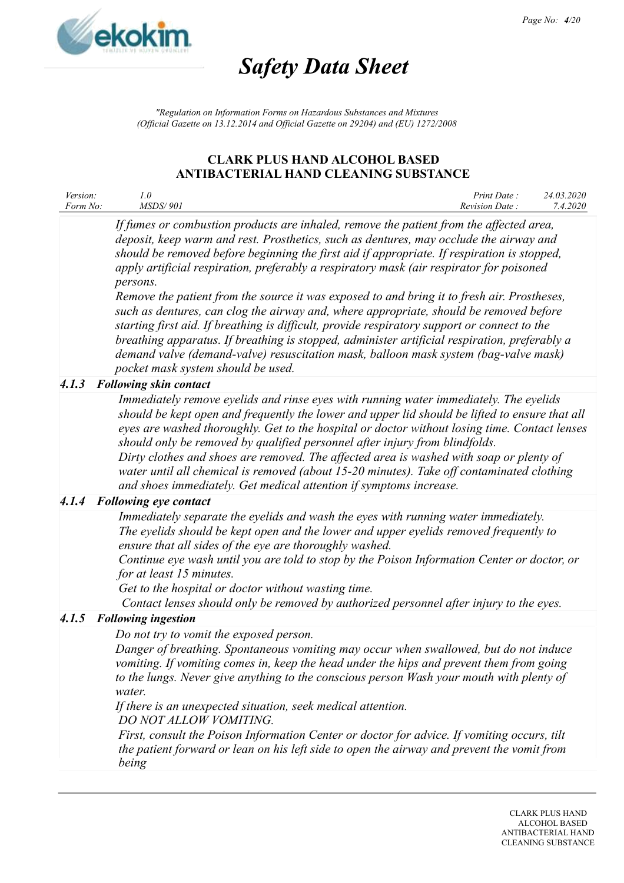

*"Regulation on Information Forms on Hazardous Substances and Mixtures (Official Gazette on 13.12.2014 and Official Gazette on 29204) and (EU) 1272/2008*

### **CLARK PLUS HAND ALCOHOL BASED ANTIBACTERIAL HAND CLEANING SUBSTANCE**

| <i>Version:</i> |                 | Print Date:    | 24.03.2020 |
|-----------------|-----------------|----------------|------------|
| Form No:        | <i>MSDS/901</i> | Revision Date: | 7.4.2020   |

*If fumes or combustion products are inhaled, remove the patient from the affected area, deposit, keep warm and rest. Prosthetics, such as dentures, may occlude the airway and should be removed before beginning the first aid if appropriate. If respiration is stopped, apply artificial respiration, preferably a respiratory mask (air respirator for poisoned persons.*

*Remove the patient from the source it was exposed to and bring it to fresh air. Prostheses, such as dentures, can clog the airway and, where appropriate, should be removed before starting first aid. If breathing is difficult, provide respiratory support or connect to the breathing apparatus. If breathing is stopped, administer artificial respiration, preferably a demand valve (demand-valve) resuscitation mask, balloon mask system (bag-valve mask) pocket mask system should be used.*

# *4.1.3 Following skin contact*

*Immediately remove eyelids and rinse eyes with running water immediately. The eyelids should be kept open and frequently the lower and upper lid should be lifted to ensure that all eyes are washed thoroughly. Get to the hospital or doctor without losing time. Contact lenses should only be removed by qualified personnel after injury from blindfolds. Dirty clothes and shoes are removed. The affected area is washed with soap or plenty of water until all chemical is removed (about 15-20 minutes). Take off contaminated clothing and shoes immediately. Get medical attention if symptoms increase.*

# *4.1.4 Following eye contact*

*Immediately separate the eyelids and wash the eyes with running water immediately. The eyelids should be kept open and the lower and upper eyelids removed frequently to ensure that all sides of the eye are thoroughly washed.*

*Continue eye wash until you are told to stop by the Poison Information Center or doctor, or for at least 15 minutes.*

*Get to the hospital or doctor without wasting time.*

*Contact lenses should only be removed by authorized personnel after injury to the eyes.*

#### *4.1.5 Following ingestion*

*Do not try to vomit the exposed person.*

*Danger of breathing. Spontaneous vomiting may occur when swallowed, but do not induce vomiting. If vomiting comes in, keep the head under the hips and prevent them from going to the lungs. Never give anything to the conscious person Wash your mouth with plenty of water.*

*If there is an unexpected situation, seek medical attention. DO NOT ALLOW VOMITING.*

*First, consult the Poison Information Center or doctor for advice. If vomiting occurs, tilt the patient forward or lean on his left side to open the airway and prevent the vomit from being*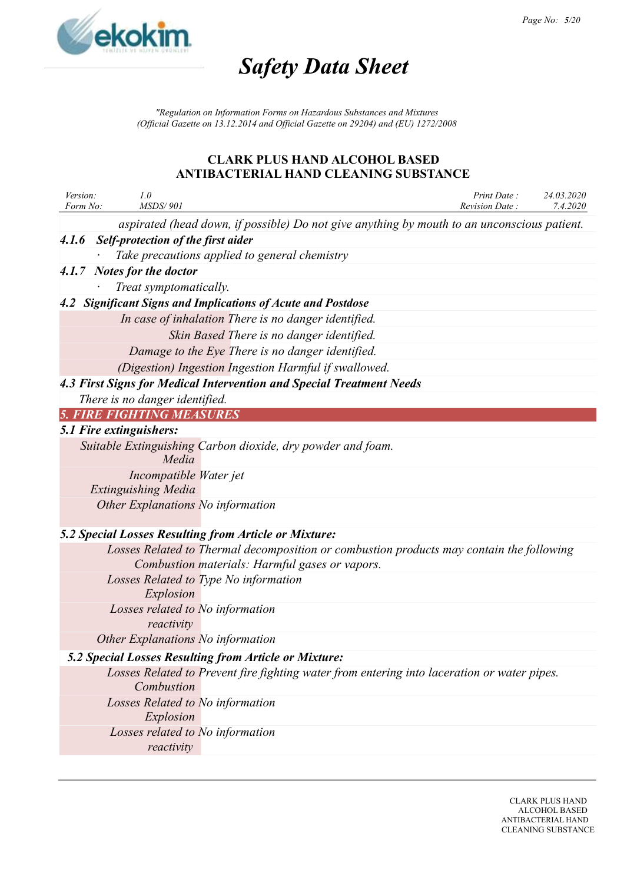

*"Regulation on Information Forms on Hazardous Substances and Mixtures (Official Gazette on 13.12.2014 and Official Gazette on 29204) and (EU) 1272/2008*

| Version:<br>Form No: | 1.0<br><b>MSDS/901</b>                         |                                                                                             | Print Date:<br>Revision Date: | 24.03.2020<br>7.4.2020 |
|----------------------|------------------------------------------------|---------------------------------------------------------------------------------------------|-------------------------------|------------------------|
|                      |                                                | aspirated (head down, if possible) Do not give anything by mouth to an unconscious patient. |                               |                        |
|                      | 4.1.6 Self-protection of the first aider       |                                                                                             |                               |                        |
|                      |                                                | Take precautions applied to general chemistry                                               |                               |                        |
|                      | 4.1.7 Notes for the doctor                     |                                                                                             |                               |                        |
|                      | Treat symptomatically.                         |                                                                                             |                               |                        |
|                      |                                                | 4.2 Significant Signs and Implications of Acute and Postdose                                |                               |                        |
|                      |                                                | In case of inhalation There is no danger identified.                                        |                               |                        |
|                      |                                                | Skin Based There is no danger identified.                                                   |                               |                        |
|                      |                                                | Damage to the Eye There is no danger identified.                                            |                               |                        |
|                      |                                                | (Digestion) Ingestion Ingestion Harmful if swallowed.                                       |                               |                        |
|                      |                                                | 4.3 First Signs for Medical Intervention and Special Treatment Needs                        |                               |                        |
|                      | There is no danger identified.                 |                                                                                             |                               |                        |
|                      | <b>5. FIRE FIGHTING MEASURES</b>               |                                                                                             |                               |                        |
|                      | 5.1 Fire extinguishers:                        |                                                                                             |                               |                        |
|                      |                                                | Suitable Extinguishing Carbon dioxide, dry powder and foam.                                 |                               |                        |
|                      | Media                                          |                                                                                             |                               |                        |
|                      | Incompatible Water jet                         |                                                                                             |                               |                        |
|                      | <b>Extinguishing Media</b>                     |                                                                                             |                               |                        |
|                      | Other Explanations No information              |                                                                                             |                               |                        |
|                      |                                                | 5.2 Special Losses Resulting from Article or Mixture:                                       |                               |                        |
|                      |                                                | Losses Related to Thermal decomposition or combustion products may contain the following    |                               |                        |
|                      |                                                | Combustion materials: Harmful gases or vapors.                                              |                               |                        |
|                      |                                                | Losses Related to Type No information                                                       |                               |                        |
|                      | Explosion                                      |                                                                                             |                               |                        |
|                      | Losses related to No information               |                                                                                             |                               |                        |
|                      | reactivity                                     |                                                                                             |                               |                        |
|                      | Other Explanations No information              |                                                                                             |                               |                        |
|                      |                                                | 5.2 Special Losses Resulting from Article or Mixture:                                       |                               |                        |
|                      | Combustion                                     | Losses Related to Prevent fire fighting water from entering into laceration or water pipes. |                               |                        |
|                      | Losses Related to No information<br>Explosion  |                                                                                             |                               |                        |
|                      | Losses related to No information<br>reactivity |                                                                                             |                               |                        |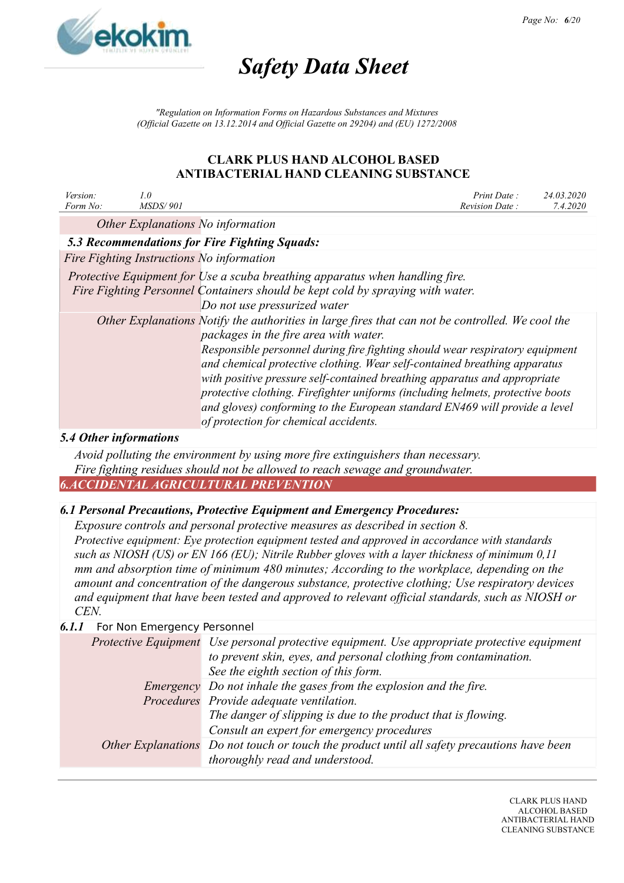

*"Regulation on Information Forms on Hazardous Substances and Mixtures (Official Gazette on 13.12.2014 and Official Gazette on 29204) and (EU) 1272/2008*

# **CLARK PLUS HAND ALCOHOL BASED ANTIBACTERIAL HAND CLEANING SUBSTANCE**

| Version:<br>Form No:          | 1.0<br><i>MSDS/901</i> | Print Date:<br>Revision Date:                                                                                                                                                                                                                                                                                                                                                                                                                                                                                                                                                                | 24.03.2020<br>7.4.2020 |
|-------------------------------|------------------------|----------------------------------------------------------------------------------------------------------------------------------------------------------------------------------------------------------------------------------------------------------------------------------------------------------------------------------------------------------------------------------------------------------------------------------------------------------------------------------------------------------------------------------------------------------------------------------------------|------------------------|
|                               |                        | Other Explanations No information                                                                                                                                                                                                                                                                                                                                                                                                                                                                                                                                                            |                        |
|                               |                        | <b>5.3 Recommendations for Fire Fighting Squads:</b>                                                                                                                                                                                                                                                                                                                                                                                                                                                                                                                                         |                        |
|                               |                        | Fire Fighting Instructions No information                                                                                                                                                                                                                                                                                                                                                                                                                                                                                                                                                    |                        |
|                               |                        | Protective Equipment for Use a scuba breathing apparatus when handling fire.<br>Fire Fighting Personnel Containers should be kept cold by spraying with water.<br>Do not use pressurized water                                                                                                                                                                                                                                                                                                                                                                                               |                        |
|                               |                        | Other Explanations Notify the authorities in large fires that can not be controlled. We cool the<br>packages in the fire area with water.<br>Responsible personnel during fire fighting should wear respiratory equipment<br>and chemical protective clothing. Wear self-contained breathing apparatus<br>with positive pressure self-contained breathing apparatus and appropriate<br>protective clothing. Firefighter uniforms (including helmets, protective boots<br>and gloves) conforming to the European standard EN469 will provide a level<br>of protection for chemical accidents. |                        |
| <b>5.4 Other informations</b> |                        |                                                                                                                                                                                                                                                                                                                                                                                                                                                                                                                                                                                              |                        |
|                               |                        | Avoid polluting the environment by using more fire extinguishers than necessary.                                                                                                                                                                                                                                                                                                                                                                                                                                                                                                             |                        |

*Fire fighting residues should not be allowed to reach sewage and groundwater. 6.ACCIDENTAL AGRICULTURAL PREVENTION*

# *6.1 Personal Precautions, Protective Equipment and Emergency Procedures:*

*Exposure controls and personal protective measures as described in section 8. Protective equipment: Eye protection equipment tested and approved in accordance with standards such as NIOSH (US) or EN 166 (EU); Nitrile Rubber gloves with a layer thickness of minimum 0,11 mm and absorption time of minimum 480 minutes; According to the workplace, depending on the amount and concentration of the dangerous substance, protective clothing; Use respiratory devices and equipment that have been tested and approved to relevant official standards, such as NIOSH or CEN.*

# *6.1.1* For Non Emergency Personnel

| Protective Equipment Use personal protective equipment. Use appropriate protective equipment<br>to prevent skin, eyes, and personal clothing from contamination.<br>See the eighth section of this form. |
|----------------------------------------------------------------------------------------------------------------------------------------------------------------------------------------------------------|
|                                                                                                                                                                                                          |
| Emergency Do not inhale the gases from the explosion and the fire.                                                                                                                                       |
| Procedures Provide adequate ventilation.                                                                                                                                                                 |
| The danger of slipping is due to the product that is flowing.                                                                                                                                            |
| Consult an expert for emergency procedures                                                                                                                                                               |
| Other Explanations Do not touch or touch the product until all safety precautions have been                                                                                                              |
| thoroughly read and understood.                                                                                                                                                                          |
|                                                                                                                                                                                                          |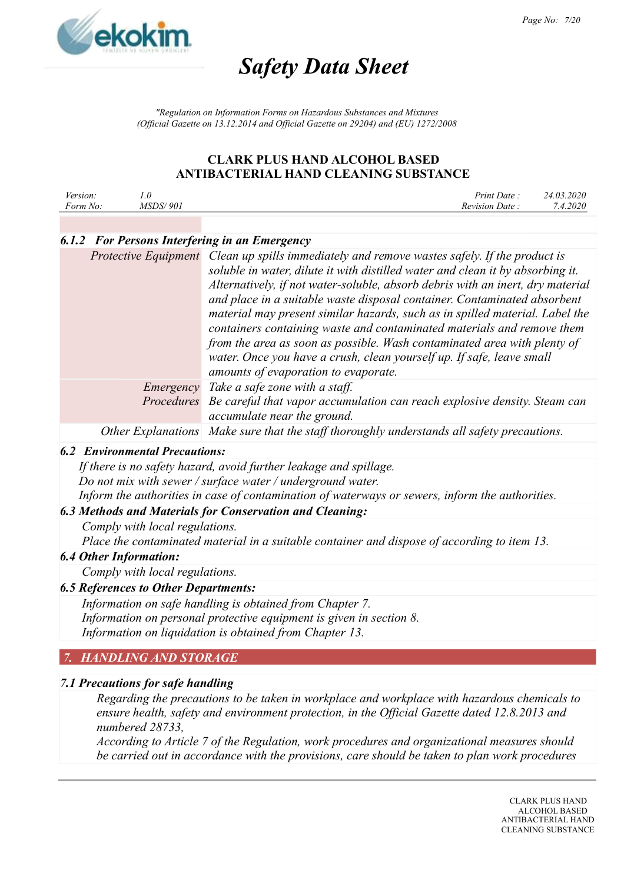

*"Regulation on Information Forms on Hazardous Substances and Mixtures (Official Gazette on 13.12.2014 and Official Gazette on 29204) and (EU) 1272/2008*

# **CLARK PLUS HAND ALCOHOL BASED ANTIBACTERIAL HAND CLEANING SUBSTANCE**

| <i>Version:</i> |                 | Print Date:    | 24.03.2020 |
|-----------------|-----------------|----------------|------------|
| Form No:        | <i>MSDS/901</i> | Revision Date: | 7.4.2020   |

# *6.1.2 For Persons Interfering in an Emergency*

|            | Protective Equipment Clean up spills immediately and remove wastes safely. If the product is<br>soluble in water, dilute it with distilled water and clean it by absorbing it.<br>Alternatively, if not water-soluble, absorb debris with an inert, dry material<br>and place in a suitable waste disposal container. Contaminated absorbent<br>material may present similar hazards, such as in spilled material. Label the<br>containers containing waste and contaminated materials and remove them<br>from the area as soon as possible. Wash contaminated area with plenty of<br>water. Once you have a crush, clean yourself up. If safe, leave small<br>amounts of evaporation to evaporate. |
|------------|-----------------------------------------------------------------------------------------------------------------------------------------------------------------------------------------------------------------------------------------------------------------------------------------------------------------------------------------------------------------------------------------------------------------------------------------------------------------------------------------------------------------------------------------------------------------------------------------------------------------------------------------------------------------------------------------------------|
| Emergency  | Take a safe zone with a staff.                                                                                                                                                                                                                                                                                                                                                                                                                                                                                                                                                                                                                                                                      |
| Procedures | Be careful that vapor accumulation can reach explosive density. Steam can<br>accumulate near the ground.                                                                                                                                                                                                                                                                                                                                                                                                                                                                                                                                                                                            |
|            | Other Explanations Make sure that the staff thoroughly understands all safety precautions.                                                                                                                                                                                                                                                                                                                                                                                                                                                                                                                                                                                                          |

# *6.2 Environmental Precautions:*

*If there is no safety hazard, avoid further leakage and spillage. Do not mix with sewer / surface water / underground water. Inform the authorities in case of contamination of waterways or sewers, inform the authorities.*

# *6.3 Methods and Materials for Conservation and Cleaning:*

*Comply with local regulations.*

*Place the contaminated material in a suitable container and dispose of according to item 13.*

#### *6.4 Other Information:*

*Comply with local regulations.*

# *6.5 References to Other Departments:*

*Information on safe handling is obtained from Chapter 7. Information on personal protective equipment is given in section 8. Information on liquidation is obtained from Chapter 13.*

# *7. HANDLING AND STORAGE*

# *7.1 Precautions for safe handling*

*Regarding the precautions to be taken in workplace and workplace with hazardous chemicals to ensure health, safety and environment protection, in the Official Gazette dated 12.8.2013 and numbered 28733,*

*According to Article 7 of the Regulation, work procedures and organizational measures should be carried out in accordance with the provisions, care should be taken to plan work procedures*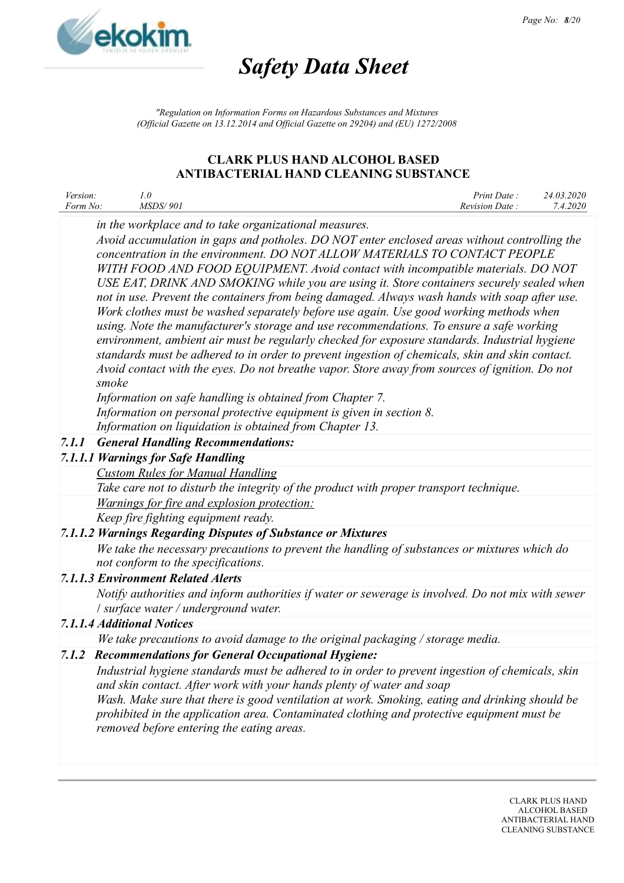

*"Regulation on Information Forms on Hazardous Substances and Mixtures (Official Gazette on 13.12.2014 and Official Gazette on 29204) and (EU) 1272/2008*

### **CLARK PLUS HAND ALCOHOL BASED ANTIBACTERIAL HAND CLEANING SUBSTANCE**

| <i>Version:</i> |                 | Print Date:    | 24.03.2020 |
|-----------------|-----------------|----------------|------------|
| Form No:        | <i>MSDS/901</i> | Revision Date: | 7.4.2020   |

*in the workplace and to take organizational measures.*

*Avoid accumulation in gaps and potholes. DO NOT enter enclosed areas without controlling the concentration in the environment. DO NOT ALLOW MATERIALS TO CONTACT PEOPLE WITH FOOD AND FOOD EQUIPMENT. Avoid contact with incompatible materials. DO NOT USE EAT, DRINK AND SMOKING while you are using it. Store containers securely sealed when not in use. Prevent the containers from being damaged. Always wash hands with soap after use. Work clothes must be washed separately before use again. Use good working methods when using. Note the manufacturer's storage and use recommendations. To ensure a safe working environment, ambient air must be regularly checked for exposure standards. Industrial hygiene standards must be adhered to in order to prevent ingestion of chemicals, skin and skin contact. Avoid contact with the eyes. Do not breathe vapor. Store away from sources of ignition. Do not smoke*

*Information on safe handling is obtained from Chapter 7.*

*Information on personal protective equipment is given in section 8.*

*Information on liquidation is obtained from Chapter 13.*

# *7.1.1 General Handling Recommendations:*

# *7.1.1.1 Warnings for Safe Handling*

*Custom Rules for Manual Handling Take care not to disturb the integrity of the product with proper transport technique. Warnings for fire and explosion protection: Keep fire fighting equipment ready.*

# *7.1.1.2 Warnings Regarding Disputes of Substance or Mixtures*

*We take the necessary precautions to prevent the handling of substances or mixtures which do not conform to the specifications.*

# *7.1.1.3 Environment Related Alerts*

*Notify authorities and inform authorities if water or sewerage is involved. Do not mix with sewer* / *surface water / underground water.*

# *7.1.1.4 Additional Notices*

*We take precautions to avoid damage to the original packaging / storage media.*

# *7.1.2 Recommendations for General Occupational Hygiene:*

*Industrial hygiene standards must be adhered to in order to prevent ingestion of chemicals, skin and skin contact. After work with your hands plenty of water and soap Wash. Make sure that there is good ventilation at work. Smoking, eating and drinking should be*

*prohibited in the application area. Contaminated clothing and protective equipment must be removed before entering the eating areas.*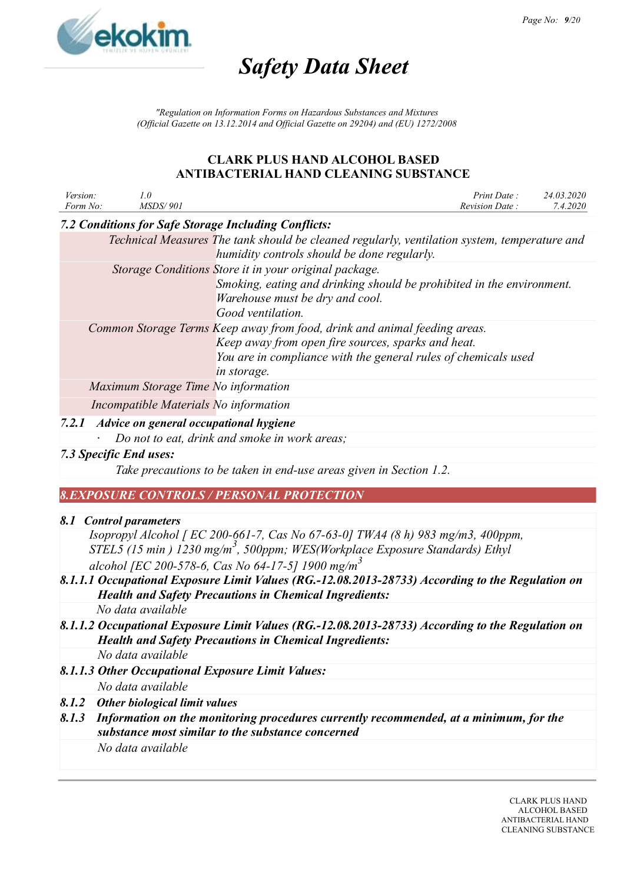

*"Regulation on Information Forms on Hazardous Substances and Mixtures (Official Gazette on 13.12.2014 and Official Gazette on 29204) and (EU) 1272/2008*

### **CLARK PLUS HAND ALCOHOL BASED ANTIBACTERIAL HAND CLEANING SUBSTANCE**

| Version:<br>Form No: | 1.0<br><b>MSDS/901</b>                            |                                                                                                                                                                                                                  | Print Date:<br>Revision Date: | 24.03.2020<br>7.4.2020 |
|----------------------|---------------------------------------------------|------------------------------------------------------------------------------------------------------------------------------------------------------------------------------------------------------------------|-------------------------------|------------------------|
|                      |                                                   | 7.2 Conditions for Safe Storage Including Conflicts:                                                                                                                                                             |                               |                        |
|                      |                                                   | Technical Measures The tank should be cleaned regularly, ventilation system, temperature and<br>humidity controls should be done regularly.                                                                      |                               |                        |
|                      |                                                   | Storage Conditions Store it in your original package.<br>Smoking, eating and drinking should be prohibited in the environment.<br>Warehouse must be dry and cool.<br>Good ventilation.                           |                               |                        |
|                      |                                                   | Common Storage Terms Keep away from food, drink and animal feeding areas.<br>Keep away from open fire sources, sparks and heat.<br>You are in compliance with the general rules of chemicals used<br>in storage. |                               |                        |
|                      | Maximum Storage Time No information               |                                                                                                                                                                                                                  |                               |                        |
|                      | Incompatible Materials No information             |                                                                                                                                                                                                                  |                               |                        |
|                      | 7.2.1 Advice on general occupational hygiene      |                                                                                                                                                                                                                  |                               |                        |
|                      |                                                   | Do not to eat, drink and smoke in work areas;                                                                                                                                                                    |                               |                        |
|                      | 7.3 Specific End uses:                            |                                                                                                                                                                                                                  |                               |                        |
|                      |                                                   | Take precautions to be taken in end-use areas given in Section 1.2.                                                                                                                                              |                               |                        |
|                      |                                                   | <b>8.EXPOSURE CONTROLS / PERSONAL PROTECTION</b>                                                                                                                                                                 |                               |                        |
|                      |                                                   |                                                                                                                                                                                                                  |                               |                        |
|                      | 8.1 Control parameters                            | Isopropyl Alcohol [ EC 200-661-7, Cas No 67-63-0] TWA4 (8 h) 983 mg/m3, 400ppm,                                                                                                                                  |                               |                        |
|                      |                                                   | STEL5 (15 min) 1230 mg/m <sup>3</sup> , 500ppm; WES(Workplace Exposure Standards) Ethyl                                                                                                                          |                               |                        |
|                      |                                                   | alcohol [EC 200-578-6, Cas No 64-17-5] 1900 mg/m <sup>3</sup>                                                                                                                                                    |                               |                        |
|                      |                                                   | 8.1.1.1 Occupational Exposure Limit Values (RG.-12.08.2013-28733) According to the Regulation on<br><b>Health and Safety Precautions in Chemical Ingredients:</b>                                                |                               |                        |
|                      | No data available                                 |                                                                                                                                                                                                                  |                               |                        |
|                      |                                                   | 8.1.1.2 Occupational Exposure Limit Values (RG.-12.08.2013-28733) According to the Regulation on<br><b>Health and Safety Precautions in Chemical Ingredients:</b>                                                |                               |                        |
|                      | No data available                                 |                                                                                                                                                                                                                  |                               |                        |
|                      | 8.1.1.3 Other Occupational Exposure Limit Values: |                                                                                                                                                                                                                  |                               |                        |

*No data available*

- *8.1.2 Other biological limit values*
- *8.1.3 Information on the monitoring procedures currently recommended, at a minimum, for the substance most similar to the substance concerned No data available*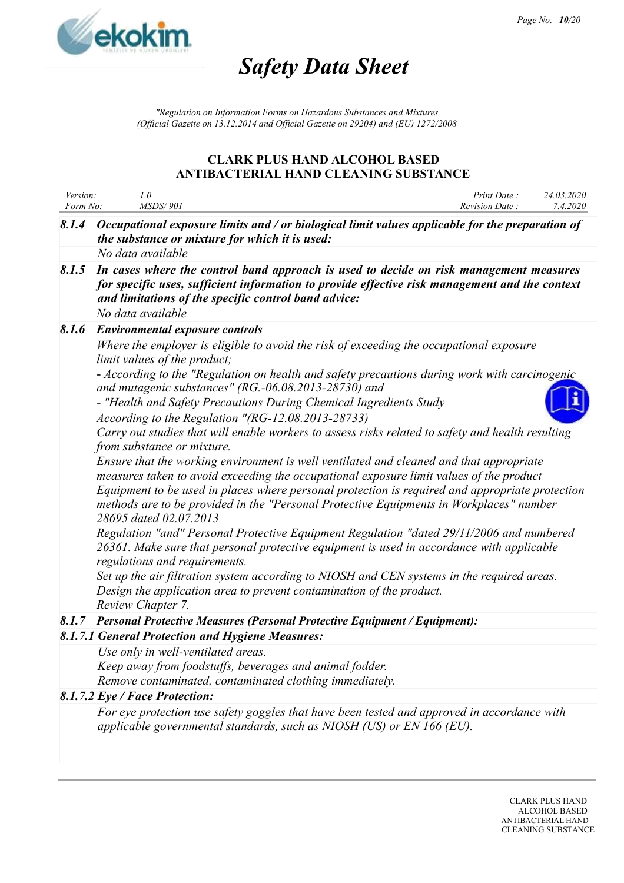

*"Regulation on Information Forms on Hazardous Substances and Mixtures (Official Gazette on 13.12.2014 and Official Gazette on 29204) and (EU) 1272/2008*

| Version:<br>Form No: | 1.0<br><b>MSDS/901</b>                                                                                                                                                                                                                                                                                                                                                                                     | Print Date:<br>Revision Date: | 24.03.2020<br>7.4.2020 |
|----------------------|------------------------------------------------------------------------------------------------------------------------------------------------------------------------------------------------------------------------------------------------------------------------------------------------------------------------------------------------------------------------------------------------------------|-------------------------------|------------------------|
| 8.1.4                | Occupational exposure limits and / or biological limit values applicable for the preparation of<br>the substance or mixture for which it is used:                                                                                                                                                                                                                                                          |                               |                        |
|                      | No data available                                                                                                                                                                                                                                                                                                                                                                                          |                               |                        |
| 8.1.5                | In cases where the control band approach is used to decide on risk management measures<br>for specific uses, sufficient information to provide effective risk management and the context<br>and limitations of the specific control band advice:                                                                                                                                                           |                               |                        |
|                      | No data available                                                                                                                                                                                                                                                                                                                                                                                          |                               |                        |
| 8.1.6                | <b>Environmental exposure controls</b>                                                                                                                                                                                                                                                                                                                                                                     |                               |                        |
|                      | Where the employer is eligible to avoid the risk of exceeding the occupational exposure<br>limit values of the product;                                                                                                                                                                                                                                                                                    |                               |                        |
|                      | - According to the "Regulation on health and safety precautions during work with carcinogenic<br>and mutagenic substances" (RG.-06.08.2013-28730) and                                                                                                                                                                                                                                                      |                               |                        |
|                      | - "Health and Safety Precautions During Chemical Ingredients Study<br>According to the Regulation "(RG-12.08.2013-28733)                                                                                                                                                                                                                                                                                   |                               |                        |
|                      | Carry out studies that will enable workers to assess risks related to safety and health resulting<br>from substance or mixture.                                                                                                                                                                                                                                                                            |                               |                        |
|                      | Ensure that the working environment is well ventilated and cleaned and that appropriate<br>measures taken to avoid exceeding the occupational exposure limit values of the product<br>Equipment to be used in places where personal protection is required and appropriate protection<br>methods are to be provided in the "Personal Protective Equipments in Workplaces" number<br>28695 dated 02.07.2013 |                               |                        |
|                      | Regulation "and" Personal Protective Equipment Regulation "dated 29/11/2006 and numbered<br>26361. Make sure that personal protective equipment is used in accordance with applicable<br>regulations and requirements.                                                                                                                                                                                     |                               |                        |
|                      | Set up the air filtration system according to NIOSH and CEN systems in the required areas.<br>Design the application area to prevent contamination of the product.<br>Review Chapter 7.                                                                                                                                                                                                                    |                               |                        |
| 8.1.7                | <b>Personal Protective Measures (Personal Protective Equipment / Equipment):</b>                                                                                                                                                                                                                                                                                                                           |                               |                        |
|                      | 8.1.7.1 General Protection and Hygiene Measures:                                                                                                                                                                                                                                                                                                                                                           |                               |                        |
|                      | Use only in well-ventilated areas.                                                                                                                                                                                                                                                                                                                                                                         |                               |                        |
|                      | Keep away from foodstuffs, beverages and animal fodder.                                                                                                                                                                                                                                                                                                                                                    |                               |                        |
|                      | Remove contaminated, contaminated clothing immediately.                                                                                                                                                                                                                                                                                                                                                    |                               |                        |
|                      | 8.1.7.2 Eye / Face Protection:                                                                                                                                                                                                                                                                                                                                                                             |                               |                        |
|                      | For eye protection use safety goggles that have been tested and approved in accordance with<br>applicable governmental standards, such as NIOSH (US) or EN 166 (EU).                                                                                                                                                                                                                                       |                               |                        |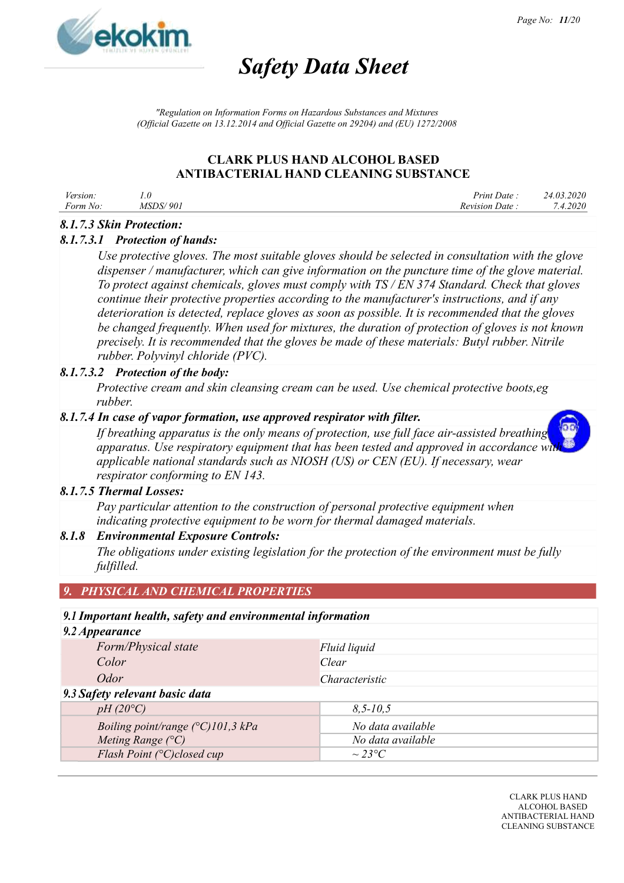

*"Regulation on Information Forms on Hazardous Substances and Mixtures (Official Gazette on 13.12.2014 and Official Gazette on 29204) and (EU) 1272/2008*

# **CLARK PLUS HAND ALCOHOL BASED ANTIBACTERIAL HAND CLEANING SUBSTANCE**

| Version: |                 | Print Date :   | 24.03.2020 |
|----------|-----------------|----------------|------------|
| Form No: | <i>MSDS/901</i> | Revision Date: | 7.4.2020   |

#### *8.1.7.3 Skin Protection:*

#### *8.1.7.3.1 Protection of hands:*

*Use protective gloves. The most suitable gloves should be selected in consultation with the glove dispenser / manufacturer, which can give information on the puncture time of the glove material. To protect against chemicals, gloves must comply with TS / EN 374 Standard. Check that gloves continue their protective properties according to the manufacturer's instructions, and if any deterioration is detected, replace gloves as soon as possible. It is recommended that the gloves be changed frequently. When used for mixtures, the duration of protection of gloves is not known precisely. It is recommended that the gloves be made of these materials: Butyl rubber. Nitrile rubber. Polyvinyl chloride (PVC).*

#### *8.1.7.3.2 Protection of the body:*

*Protective cream and skin cleansing cream can be used. Use chemical protective boots,eg rubber.*

#### *8.1.7.4 In case of vapor formation, use approved respirator with filter.*

*If breathing apparatus is the only means of protection, use full face air-assisted breathing apparatus. Use respiratory equipment that has been tested and approved in accordance with applicable national standards such as NIOSH (US) or CEN (EU). If necessary, wear respirator conforming to EN 143.*

#### *8.1.7.5 Thermal Losses:*

*Pay particular attention to the construction of personal protective equipment when indicating protective equipment to be worn for thermal damaged materials.*

#### *8.1.8 Environmental Exposure Controls:*

*The obligations under existing legislation for the protection of the environment must be fully fulfilled.*

#### *9. PHYSICAL AND CHEMICAL PROPERTIES*

#### *9.1 Important health, safety and environmental information*

# *9.2 Appearance Form/Physical state Fluid liquid Color Clear Odor Characteristic 9.3 Safety relevant basic data pH (20°C) 8,5-10,5 Boiling point/range*  $(^{\circ}C)$ 101,3 kPa *No data available Meting Range (°C) No data available Flash Point (°C)closed cup ~ 23°C*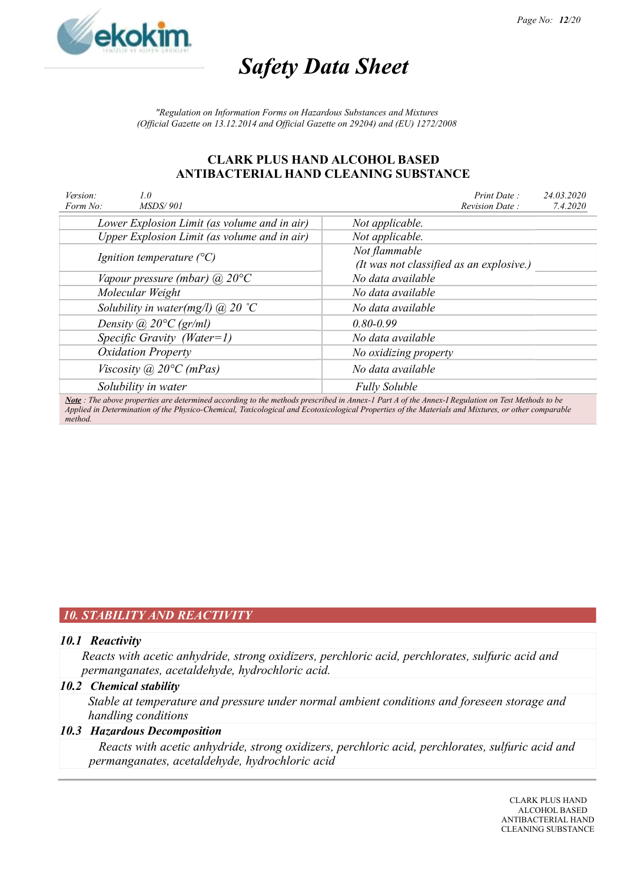

*"Regulation on Information Forms on Hazardous Substances and Mixtures (Official Gazette on 13.12.2014 and Official Gazette on 29204) and (EU) 1272/2008*

#### **CLARK PLUS HAND ALCOHOL BASED ANTIBACTERIAL HAND CLEANING SUBSTANCE**

| Version:<br>Form No: | 1.0<br><i>MSDS/901</i>                       | Print Date:<br>24.03.2020<br>Revision Date:<br>7.4.2020                                                                                         |  |  |  |  |
|----------------------|----------------------------------------------|-------------------------------------------------------------------------------------------------------------------------------------------------|--|--|--|--|
|                      | Lower Explosion Limit (as volume and in air) | Not applicable.                                                                                                                                 |  |  |  |  |
|                      | Upper Explosion Limit (as volume and in air) | Not applicable.                                                                                                                                 |  |  |  |  |
|                      | Ignition temperature $(^{\circ}C)$           | Not flammable                                                                                                                                   |  |  |  |  |
|                      |                                              | (It was not classified as an explosive.)                                                                                                        |  |  |  |  |
|                      | Vapour pressure (mbar) $\omega$ 20°C         | No data available                                                                                                                               |  |  |  |  |
|                      | Molecular Weight                             | No data available                                                                                                                               |  |  |  |  |
|                      | Solubility in water(mg/l) $\omega$ 20 °C     | No data available                                                                                                                               |  |  |  |  |
|                      | Density (a) $20^{\circ}C$ (gr/ml)            | $0.80 - 0.99$                                                                                                                                   |  |  |  |  |
|                      | Specific Gravity (Water=1)                   | No data available                                                                                                                               |  |  |  |  |
|                      | <b>Oxidation Property</b>                    | No oxidizing property                                                                                                                           |  |  |  |  |
|                      | Viscosity ( $a$ ) 20 $\degree$ C (mPas)      | No data available                                                                                                                               |  |  |  |  |
|                      | Solubility in water                          | <b>Fully Soluble</b>                                                                                                                            |  |  |  |  |
|                      |                                              | Note: The above properties are determined according to the methods prescribed in Annex-1 Part A of the Annex-I Regulation on Test Methods to be |  |  |  |  |

*Applied in Determination of the Physico-Chemical, Toxicological and Ecotoxicological Properties of the Materials and Mixtures, or other comparable method.*

# *10. STABILITY AND REACTIVITY*

#### *10.1 Reactivity*

*Reacts with acetic anhydride, strong oxidizers, perchloric acid, perchlorates, sulfuric acid and permanganates, acetaldehyde, hydrochloric acid.*

#### *10.2 Chemical stability*

*Stable at temperature and pressure under normal ambient conditions and foreseen storage and handling conditions*

#### *10.3 Hazardous Decomposition*

*Reacts with acetic anhydride, strong oxidizers, perchloric acid, perchlorates, sulfuric acid and permanganates, acetaldehyde, hydrochloric acid*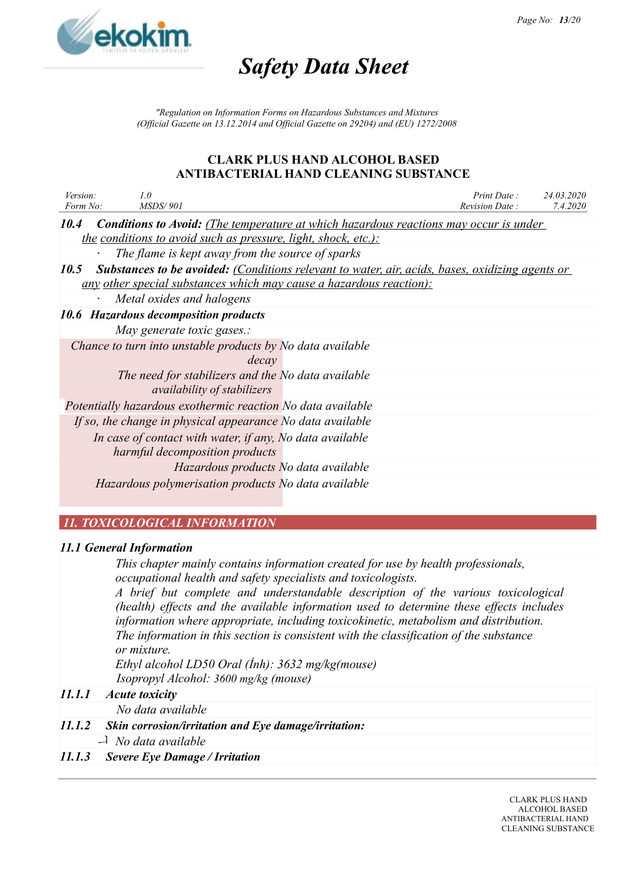

*"Regulation on Information Forms on Hazardous Substances and Mixtures (Official Gazette on 13.12.2014 and Official Gazette on 29204) and (EU) 1272/2008*

#### **CLARK PLUS HAND ALCOHOL BASED ANTIBACTERIAL HAND CLEANING SUBSTANCE**

| Version:<br>Form No: | 1.0<br><b>MSDS/901</b>                                                                                 | Print Date:<br>Revision Date: | 24.03.2020<br>7.4.2020 |
|----------------------|--------------------------------------------------------------------------------------------------------|-------------------------------|------------------------|
|                      |                                                                                                        |                               |                        |
| 10.4                 | <b>Conditions to Avoid:</b> (The temperature at which hazardous reactions may occur is under           |                               |                        |
|                      | <u>the conditions to avoid such as pressure, light, shock, etc.):</u>                                  |                               |                        |
|                      | The flame is kept away from the source of sparks                                                       |                               |                        |
| 10.5                 | <b>Substances to be avoided:</b> (Conditions relevant to water, air, acids, bases, oxidizing agents or |                               |                        |
|                      | <u>any other special substances which may cause a hazardous reaction):</u>                             |                               |                        |
|                      | Metal oxides and halogens                                                                              |                               |                        |
|                      | 10.6 Hazardous decomposition products                                                                  |                               |                        |
|                      | May generate toxic gases.:                                                                             |                               |                        |
|                      | Chance to turn into unstable products by No data available                                             |                               |                        |
|                      | decay                                                                                                  |                               |                        |
|                      | The need for stabilizers and the No data available                                                     |                               |                        |
|                      | <i>availability of stabilizers</i>                                                                     |                               |                        |
|                      | Potentially hazardous exothermic reaction No data available                                            |                               |                        |
|                      | If so, the change in physical appearance No data available                                             |                               |                        |
|                      | In case of contact with water, if any, No data available                                               |                               |                        |
|                      | harmful decomposition products                                                                         |                               |                        |
|                      | Hazardous products No data available                                                                   |                               |                        |
|                      | Hazardous polymerisation products No data available                                                    |                               |                        |
|                      |                                                                                                        |                               |                        |

# *11. TOXICOLOGICAL INFORMATION*

#### *11.1 General Information*

*This chapter mainly contains information created for use by health professionals, occupational health and safety specialists and toxicologists.*

*A brief but complete and understandable description of the various toxicological (health) effects and the available information used to determine these effects includes information where appropriate, including toxicokinetic, metabolism and distribution. The information in this section is consistent with the classification of the substance or mixture.*

*Ethyl alcohol LD50 Oral (İnh): 3632 mg/kg(mouse) Isopropyl Alcohol: 3600 mg/kg (mouse)*

#### *11.1.1 Acute toxicity*

*No data available*

#### *11.1.2 Skin corrosion/irritation and Eye damage/irritation:*

*No data available*

#### *11.1.3 Severe Eye Damage / Irritation*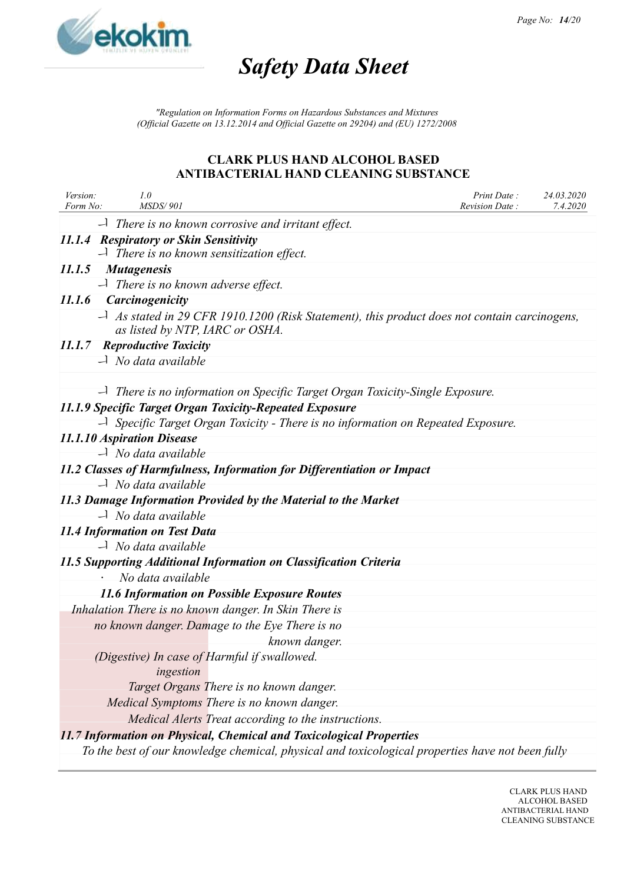

*"Regulation on Information Forms on Hazardous Substances and Mixtures (Official Gazette on 13.12.2014 and Official Gazette on 29204) and (EU) 1272/2008*

| Version:<br>Form No: | 1.0<br><b>MSDS/901</b>                                                                                                                           | Print Date:<br>24.03.2020<br>Revision Date: | 7.4.2020 |
|----------------------|--------------------------------------------------------------------------------------------------------------------------------------------------|---------------------------------------------|----------|
|                      | $\Box$ There is no known corrosive and irritant effect.                                                                                          |                                             |          |
|                      | 11.1.4 Respiratory or Skin Sensitivity                                                                                                           |                                             |          |
|                      | $\Box$ There is no known sensitization effect.                                                                                                   |                                             |          |
|                      | 11.1.5 Mutagenesis                                                                                                                               |                                             |          |
|                      | $\Box$ There is no known adverse effect.                                                                                                         |                                             |          |
|                      | 11.1.6 Carcinogenicity                                                                                                                           |                                             |          |
|                      | $\rightarrow$ As stated in 29 CFR 1910.1200 (Risk Statement), this product does not contain carcinogens,<br>as listed by NTP, IARC or OSHA.      |                                             |          |
|                      | 11.1.7 Reproductive Toxicity                                                                                                                     |                                             |          |
|                      | $\overrightarrow{a}$ No data available                                                                                                           |                                             |          |
|                      |                                                                                                                                                  |                                             |          |
|                      | $\rightarrow$ There is no information on Specific Target Organ Toxicity-Single Exposure.                                                         |                                             |          |
|                      | 11.1.9 Specific Target Organ Toxicity-Repeated Exposure<br>$\Box$ Specific Target Organ Toxicity - There is no information on Repeated Exposure. |                                             |          |
|                      |                                                                                                                                                  |                                             |          |
|                      | 11.1.10 Aspiration Disease<br>$\Box$ No data available                                                                                           |                                             |          |
|                      |                                                                                                                                                  |                                             |          |
|                      | 11.2 Classes of Harmfulness, Information for Differentiation or Impact                                                                           |                                             |          |
|                      | $\overrightarrow{a}$ No data available                                                                                                           |                                             |          |
|                      | 11.3 Damage Information Provided by the Material to the Market                                                                                   |                                             |          |
|                      | $\overrightarrow{a}$ No data available                                                                                                           |                                             |          |
|                      | 11.4 Information on Test Data                                                                                                                    |                                             |          |
|                      | $\overrightarrow{a}$ No data available                                                                                                           |                                             |          |
|                      | 11.5 Supporting Additional Information on Classification Criteria                                                                                |                                             |          |
|                      | No data available                                                                                                                                |                                             |          |
|                      | <b>11.6 Information on Possible Exposure Routes</b>                                                                                              |                                             |          |
|                      | Inhalation There is no known danger. In Skin There is                                                                                            |                                             |          |
|                      | no known danger. Damage to the Eye There is no                                                                                                   |                                             |          |
|                      | known danger.                                                                                                                                    |                                             |          |
|                      | (Digestive) In case of Harmful if swallowed.                                                                                                     |                                             |          |
|                      | ingestion                                                                                                                                        |                                             |          |
|                      | Target Organs There is no known danger.                                                                                                          |                                             |          |
|                      | Medical Symptoms There is no known danger.                                                                                                       |                                             |          |
|                      | Medical Alerts Treat according to the instructions.                                                                                              |                                             |          |
|                      | 11.7 Information on Physical, Chemical and Toxicological Properties                                                                              |                                             |          |
|                      | To the best of our knowledge chemical, physical and toxicological properties have not been fully                                                 |                                             |          |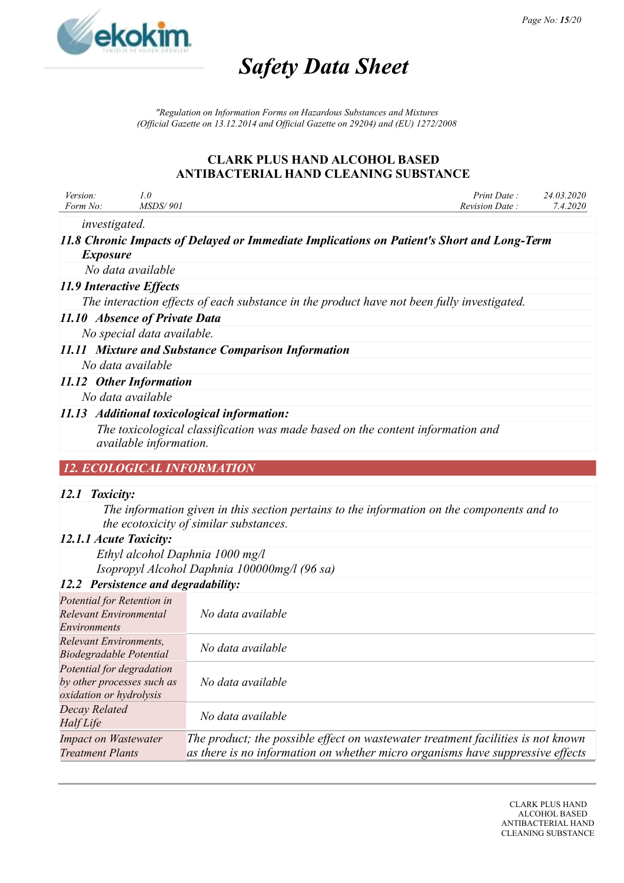

*"Regulation on Information Forms on Hazardous Substances and Mixtures (Official Gazette on 13.12.2014 and Official Gazette on 29204) and (EU) 1272/2008*

# **CLARK PLUS HAND ALCOHOL BASED ANTIBACTERIAL HAND CLEANING SUBSTANCE**

| Version: | 1.0                                                                                                      | Print Date:                                                                                | 24.03.2020 |
|----------|----------------------------------------------------------------------------------------------------------|--------------------------------------------------------------------------------------------|------------|
| Form No: | <i>MSDS/901</i>                                                                                          | <b>Revision Date:</b>                                                                      | 7.4.2020   |
|          | <i>investigated.</i>                                                                                     |                                                                                            |            |
|          | <i>Exposure</i>                                                                                          | 11.8 Chronic Impacts of Delayed or Immediate Implications on Patient's Short and Long-Term |            |
|          | No data available                                                                                        |                                                                                            |            |
|          | 11.9 Interactive Effects                                                                                 |                                                                                            |            |
|          | The interaction effects of each substance in the product have not been fully investigated.               |                                                                                            |            |
|          | 11.10 Absence of Private Data                                                                            |                                                                                            |            |
|          | No special data available.                                                                               |                                                                                            |            |
|          | 11.11 Mixture and Substance Comparison Information                                                       |                                                                                            |            |
|          | No data available                                                                                        |                                                                                            |            |
|          | 11.12 Other Information                                                                                  |                                                                                            |            |
|          | No data available                                                                                        |                                                                                            |            |
|          | 11.13 Additional toxicological information:                                                              |                                                                                            |            |
|          | The toxicological classification was made based on the content information and<br>available information. |                                                                                            |            |
|          | <b>12. ECOLOGICAL INFORMATION</b>                                                                        |                                                                                            |            |

#### *12.1 Toxicity:*

*The information given in this section pertains to the information on the components and to the ecotoxicity of similar substances.*

#### *12.1.1 Acute Toxicity:*

*Ethyl alcohol Daphnia 1000 mg/l Isopropyl Alcohol Daphnia 100000mg/l (96 sa)*

# *12.2 Persistence and degradability:*

| Potential for Retention in     |                                                                                  |
|--------------------------------|----------------------------------------------------------------------------------|
| Relevant Environmental         | No data available                                                                |
| <i>Environments</i>            |                                                                                  |
| <b>Relevant Environments,</b>  | No data available                                                                |
| <b>Biodegradable Potential</b> |                                                                                  |
| Potential for degradation      |                                                                                  |
| by other processes such as     | No data available                                                                |
| oxidation or hydrolysis        |                                                                                  |
| Decay Related                  |                                                                                  |
| Half Life                      | No data available                                                                |
| <b>Impact on Wastewater</b>    | The product; the possible effect on wastewater treatment facilities is not known |
| <b>Treatment Plants</b>        | as there is no information on whether micro organisms have suppressive effects   |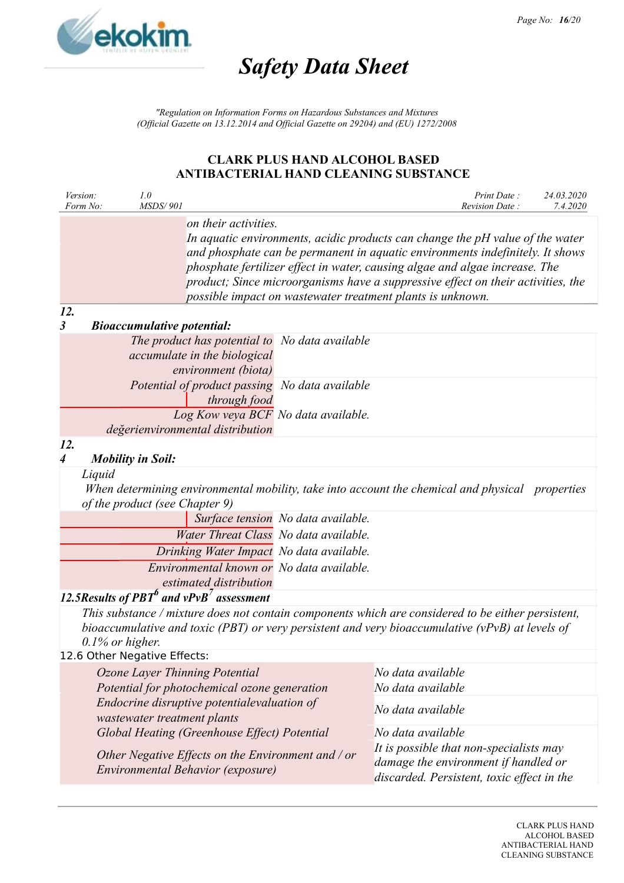

*"Regulation on Information Forms on Hazardous Substances and Mixtures (Official Gazette on 13.12.2014 and Official Gazette on 29204) and (EU) 1272/2008*

|                         | Version:<br>Form No:                                                                                                                                                    | 1.0<br><b>MSDS/901</b>            |                                                                                |                                                                                                                               |                                                                                                                                                                                                                                                                                                                                                                                                 | Print Date:<br>Revision Date: | 24.03.2020<br>7.4.2020 |
|-------------------------|-------------------------------------------------------------------------------------------------------------------------------------------------------------------------|-----------------------------------|--------------------------------------------------------------------------------|-------------------------------------------------------------------------------------------------------------------------------|-------------------------------------------------------------------------------------------------------------------------------------------------------------------------------------------------------------------------------------------------------------------------------------------------------------------------------------------------------------------------------------------------|-------------------------------|------------------------|
|                         |                                                                                                                                                                         |                                   | on their activities.                                                           |                                                                                                                               | In aquatic environments, acidic products can change the pH value of the water<br>and phosphate can be permanent in aquatic environments indefinitely. It shows<br>phosphate fertilizer effect in water, causing algae and algae increase. The<br>product; Since microorganisms have a suppressive effect on their activities, the<br>possible impact on wastewater treatment plants is unknown. |                               |                        |
| 12.<br>3                |                                                                                                                                                                         | <b>Bioaccumulative potential:</b> |                                                                                |                                                                                                                               |                                                                                                                                                                                                                                                                                                                                                                                                 |                               |                        |
|                         |                                                                                                                                                                         |                                   | accumulate in the biological<br>environment (biota)                            | The product has potential to No data available                                                                                |                                                                                                                                                                                                                                                                                                                                                                                                 |                               |                        |
|                         |                                                                                                                                                                         |                                   | through food                                                                   | Potential of product passing No data available<br>Log Kow veya BCF No data available.                                         |                                                                                                                                                                                                                                                                                                                                                                                                 |                               |                        |
| 12.<br>$\boldsymbol{4}$ |                                                                                                                                                                         |                                   | değerienvironmental distribution                                               |                                                                                                                               |                                                                                                                                                                                                                                                                                                                                                                                                 |                               |                        |
|                         | <b>Mobility in Soil:</b><br>Liquid<br>When determining environmental mobility, take into account the chemical and physical properties<br>of the product (see Chapter 9) |                                   |                                                                                |                                                                                                                               |                                                                                                                                                                                                                                                                                                                                                                                                 |                               |                        |
|                         |                                                                                                                                                                         |                                   |                                                                                | Surface tension No data available.<br>Water Threat Class No data available.                                                   |                                                                                                                                                                                                                                                                                                                                                                                                 |                               |                        |
|                         |                                                                                                                                                                         |                                   |                                                                                | Drinking Water Impact No data available.                                                                                      |                                                                                                                                                                                                                                                                                                                                                                                                 |                               |                        |
|                         |                                                                                                                                                                         |                                   | estimated distribution                                                         | Environmental known or No data available.                                                                                     |                                                                                                                                                                                                                                                                                                                                                                                                 |                               |                        |
|                         |                                                                                                                                                                         |                                   | 12.5 Results of PBT $^6$ and vPvB <sup>7</sup> assessment                      |                                                                                                                               |                                                                                                                                                                                                                                                                                                                                                                                                 |                               |                        |
|                         | $0.1\%$ or higher.                                                                                                                                                      |                                   |                                                                                |                                                                                                                               | This substance / mixture does not contain components which are considered to be either persistent,<br>bioaccumulative and toxic (PBT) or very persistent and very bioaccumulative (vPvB) at levels of                                                                                                                                                                                           |                               |                        |
|                         | 12.6 Other Negative Effects:                                                                                                                                            |                                   |                                                                                |                                                                                                                               |                                                                                                                                                                                                                                                                                                                                                                                                 |                               |                        |
|                         |                                                                                                                                                                         |                                   | Ozone Layer Thinning Potential<br>Potential for photochemical ozone generation |                                                                                                                               | No data available<br>No data available                                                                                                                                                                                                                                                                                                                                                          |                               |                        |
|                         | Endocrine disruptive potentialevaluation of<br>wastewater treatment plants                                                                                              |                                   |                                                                                |                                                                                                                               | No data available                                                                                                                                                                                                                                                                                                                                                                               |                               |                        |
|                         |                                                                                                                                                                         |                                   | Global Heating (Greenhouse Effect) Potential                                   |                                                                                                                               | No data available                                                                                                                                                                                                                                                                                                                                                                               |                               |                        |
|                         | Other Negative Effects on the Environment and / or<br>Environmental Behavior (exposure)                                                                                 |                                   |                                                                                | It is possible that non-specialists may<br>damage the environment if handled or<br>discarded. Persistent, toxic effect in the |                                                                                                                                                                                                                                                                                                                                                                                                 |                               |                        |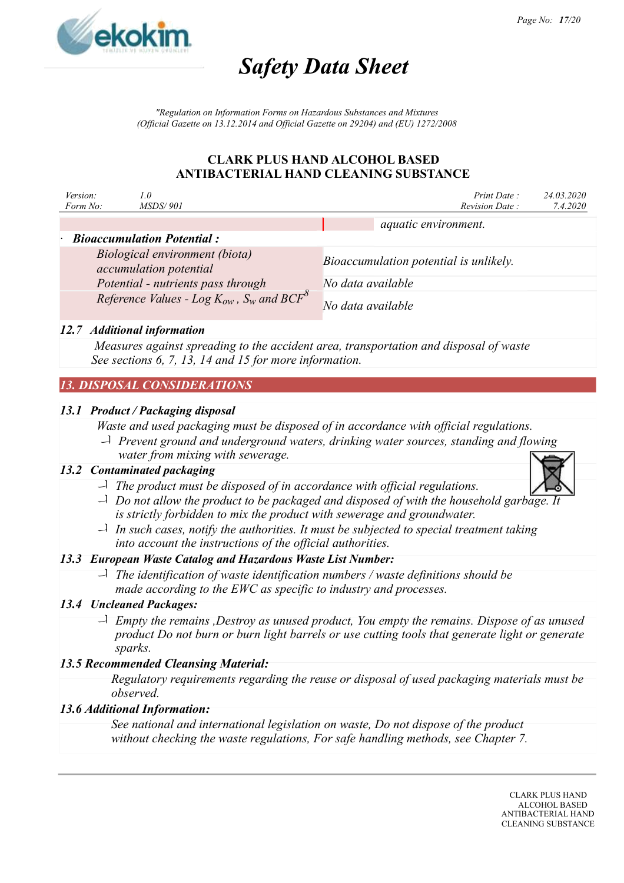

*"Regulation on Information Forms on Hazardous Substances and Mixtures (Official Gazette on 13.12.2014 and Official Gazette on 29204) and (EU) 1272/2008*

### **CLARK PLUS HAND ALCOHOL BASED ANTIBACTERIAL HAND CLEANING SUBSTANCE**

| Version:<br>Form No: | 1.0<br><i>MSDS/901</i>                                                         |                   | Print Date:<br>Revision Date:          | 24.03.2020<br>7.4.2020 |
|----------------------|--------------------------------------------------------------------------------|-------------------|----------------------------------------|------------------------|
|                      |                                                                                |                   | aquatic environment.                   |                        |
|                      | $\cdot$ Bioaccumulation Potential:                                             |                   |                                        |                        |
|                      | Biological environment (biota)<br>accumulation potential                       |                   | Bioaccumulation potential is unlikely. |                        |
|                      | Potential - nutrients pass through                                             | No data available |                                        |                        |
|                      | Reference Values - Log $K_{ow}$ , $S_w$ and BCF <sup><math>\delta</math></sup> | No data available |                                        |                        |

### *12.7 Additional information*

*Measures against spreading to the accident area, transportation and disposal of waste See sections 6, 7, 13, 14 and 15 for more information.*

# *13. DISPOSAL CONSIDERATIONS*

### *13.1 Product / Packaging disposal*

*Waste and used packaging must be disposed of in accordance with official regulations.*

 *Prevent ground and underground waters, drinking water sources, standing and flowing water from mixing with sewerage.*

# *13.2 Contaminated packaging*

- *The product must be disposed of in accordance with official regulations.*
- *Do not allow the product to be packaged and disposed of with the household garbage. It is strictly forbidden to mix the product with sewerage and groundwater.*
- *In such cases, notify the authorities. It must be subjected to special treatment taking into account the instructions of the official authorities.*

# *13.3 European Waste Catalog and Hazardous Waste List Number:*

 *The identification of waste identification numbers / waste definitions should be made according to the EWC as specific to industry and processes.*

# *13.4 Uncleaned Packages:*

 *Empty the remains ,Destroy as unused product, You empty the remains. Dispose of as unused product Do not burn or burn light barrels or use cutting tools that generate light or generate sparks.*

# *13.5 Recommended Cleansing Material:*

*Regulatory requirements regarding the reuse or disposal of used packaging materials must be observed.*

#### *13.6 Additional Information:*

*See national and international legislation on waste, Do not dispose of the product without checking the waste regulations, For safe handling methods, see Chapter 7.*

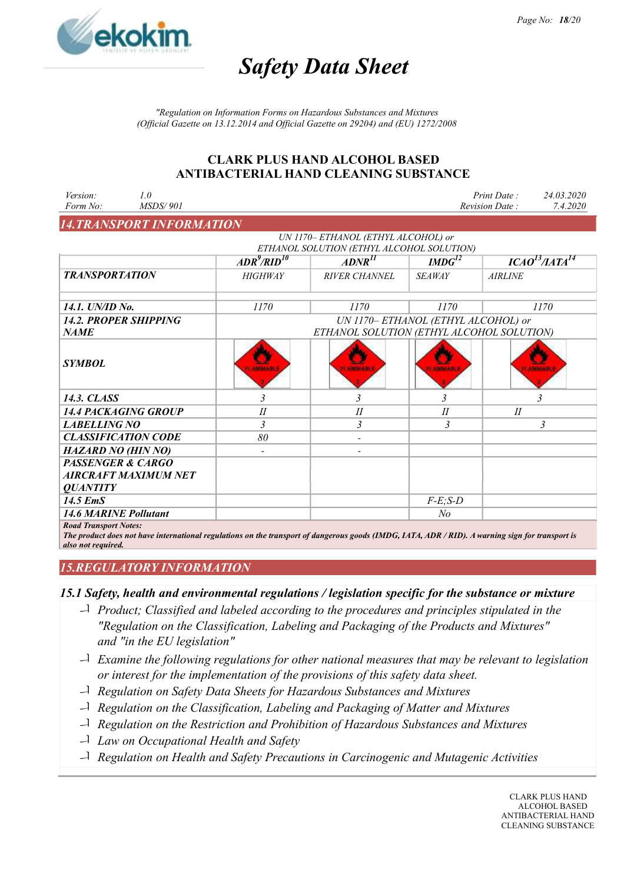

*"Regulation on Information Forms on Hazardous Substances and Mixtures (Official Gazette on 13.12.2014 and Official Gazette on 29204) and (EU) 1272/2008*

#### **CLARK PLUS HAND ALCOHOL BASED ANTIBACTERIAL HAND CLEANING SUBSTANCE**

| Version:<br>Form No:         | 1.0<br><b>MSDS/901</b>           |                                                                                                                                                  |                                           |                         | 24.03.2020<br>Print Date:<br>7.4.2020<br>Revision Date: |
|------------------------------|----------------------------------|--------------------------------------------------------------------------------------------------------------------------------------------------|-------------------------------------------|-------------------------|---------------------------------------------------------|
|                              | <b>14. TRANSPORT INFORMATION</b> |                                                                                                                                                  |                                           |                         |                                                         |
|                              |                                  |                                                                                                                                                  | UN 1170- ETHANOL (ETHYL ALCOHOL) or       |                         |                                                         |
|                              |                                  |                                                                                                                                                  | ETHANOL SOLUTION (ETHYL ALCOHOL SOLUTION) |                         |                                                         |
|                              |                                  | $ADR^9/RID^{10}$                                                                                                                                 | $ADNR$ <sup>II</sup>                      | $IMDG^{12}$             | ICAO <sup>13</sup> /IATA <sup>14</sup>                  |
| <b>TRANSPORTATION</b>        |                                  | <b>HIGHWAY</b>                                                                                                                                   | <b>RIVER CHANNEL</b>                      | <b>SEAWAY</b>           | <b>AIRLINE</b>                                          |
| 14.1. UN/ID No.              |                                  | 1170                                                                                                                                             | 1170                                      | 1170                    | 1170                                                    |
|                              | <b>14.2. PROPER SHIPPING</b>     | UN 1170- ETHANOL (ETHYL ALCOHOL) or                                                                                                              |                                           |                         |                                                         |
| <b>NAME</b>                  |                                  |                                                                                                                                                  | ETHANOL SOLUTION (ETHYL ALCOHOL SOLUTION) |                         |                                                         |
| <b>SYMBOL</b>                |                                  |                                                                                                                                                  | <b>ANNAN A</b>                            |                         |                                                         |
| 14.3. CLASS                  |                                  | $\overline{\mathbf{3}}$                                                                                                                          | $\overline{\mathbf{3}}$                   | $\overline{\mathbf{3}}$ | $\overline{3}$                                          |
|                              | <b>14.4 PACKAGING GROUP</b>      | $I\!I$                                                                                                                                           | $I\!I$                                    | $I\!I$                  | II                                                      |
| <b>LABELLING NO</b>          |                                  | 3                                                                                                                                                | $\overline{\mathbf{3}}$                   | $\overline{\mathbf{3}}$ | $\mathfrak{Z}$                                          |
|                              | <b>CLASSIFICATION CODE</b>       | 80                                                                                                                                               | $\overline{\phantom{a}}$                  |                         |                                                         |
| <b>HAZARD NO (HIN NO)</b>    |                                  |                                                                                                                                                  |                                           |                         |                                                         |
| <b>PASSENGER &amp; CARGO</b> |                                  |                                                                                                                                                  |                                           |                         |                                                         |
|                              | AIRCRAFT MAXIMUM NET             |                                                                                                                                                  |                                           |                         |                                                         |
| <i><b>OUANTITY</b></i>       |                                  |                                                                                                                                                  |                                           |                         |                                                         |
| 14.5 EmS                     |                                  |                                                                                                                                                  |                                           | $F-E$ ; $S-D$           |                                                         |
| <b>14.6 MARINE Pollutant</b> |                                  |                                                                                                                                                  |                                           | No                      |                                                         |
| <b>Road Transport Notes:</b> |                                  | The product does not have international regulations on the transport of dangerous goods (IMDG, IATA, ADR / RID). A warning sign for transport is |                                           |                         |                                                         |

*also not required.*

# *15.REGULATORY INFORMATION*

#### *15.1 Safety, health and environmental regulations / legislation specific for the substance or mixture*

- *Product; Classified and labeled according to the procedures and principles stipulated in the "Regulation on the Classification, Labeling and Packaging of the Products and Mixtures" and "in the EU legislation"*
- *Examine the following regulations for other national measures that may be relevant to legislation or interest for the implementation of the provisions of this safety data sheet.*
- *Regulation on Safety Data Sheets for Hazardous Substances and Mixtures*
- *Regulation on the Classification, Labeling and Packaging of Matter and Mixtures*
- *Regulation on the Restriction and Prohibition of Hazardous Substances and Mixtures*
- *Law on Occupational Health and Safety*
- *Regulation on Health and Safety Precautions in Carcinogenic and Mutagenic Activities*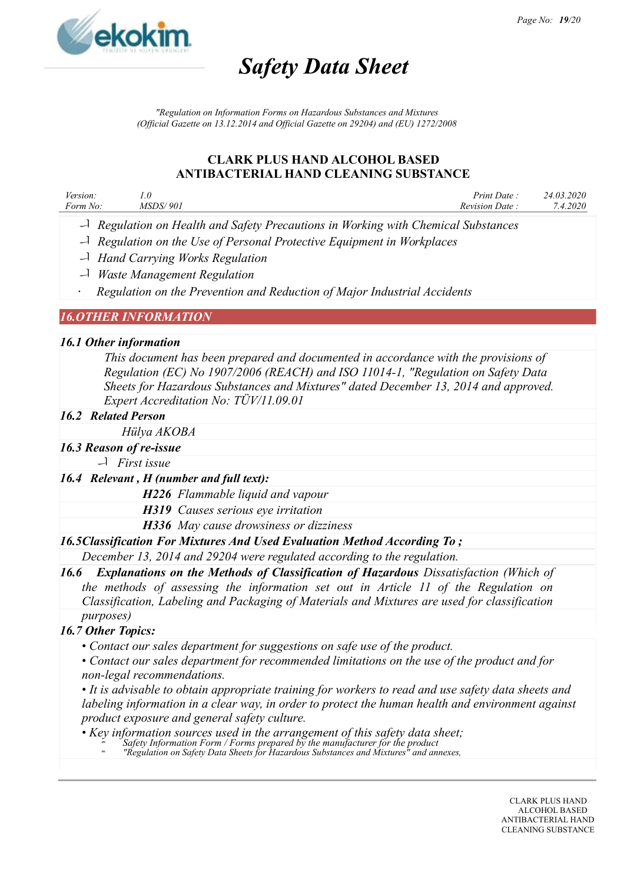

*"Regulation on Information Forms on Hazardous Substances and Mixtures (Official Gazette on 13.12.2014 and Official Gazette on 29204) and (EU) 1272/2008*

### **CLARK PLUS HAND ALCOHOL BASED ANTIBACTERIAL HAND CLEANING SUBSTANCE**

| Version: | 1.0             | Print Date:    | 24.03.2020 |
|----------|-----------------|----------------|------------|
| Form No: | <i>MSDS/901</i> | Revision Date: | 1.2020     |
|          |                 |                |            |

- *Regulation on Health and Safety Precautions in Working with Chemical Substances*
- *Regulation on the Use of Personal Protective Equipment in Workplaces*
- *Hand Carrying Works Regulation*
- *Waste Management Regulation*

· *Regulation on the Prevention and Reduction of Major Industrial Accidents*

### *16.OTHER INFORMATION*

#### *16.1 Other information*

*This document has been prepared and documented in accordance with the provisions of Regulation (EC) No 1907/2006 (REACH) and ISO 11014-1, "Regulation on Safety Data Sheets for Hazardous Substances and Mixtures" dated December 13, 2014 and approved. Expert Accreditation No: TÜV/11.09.01*

#### *16.2 Related Person*

*Hülya AKOBA*

- *16.3 Reason of re-issue*
	- *First issue*

#### *16.4 Relevant , H (number and full text):*

*H226 Flammable liquid and vapour*

- *H319 Causes serious eye irritation*
- *H336 May cause drowsiness or dizziness*

#### *16.5Classification For Mixtures And Used Evaluation Method According To ;*

*December 13, 2014 and 29204 were regulated according to the regulation.*

*16.6 Explanations on the Methods of Classification of Hazardous Dissatisfaction (Which of the methods of assessing the information set out in Article 11 of the Regulation on Classification, Labeling and Packaging of Materials and Mixtures are used for classification purposes)*

# *16.7 Other Topics:*

- *Contact our sales department for suggestions on safe use of the product.*
- *Contact our sales department for recommended limitations on the use of the product and for non-legal recommendations.*

• *It is advisable to obtain appropriate training for workers to read and use safety data sheets and labeling information in a clear way, in order to protect the human health and environment against product exposure and general safety culture.*

• *Key information sources used in the arrangement of this safety data sheet;*

- *Safety Information Form / Forms prepared by the manufacturer for the product*
- *"Regulation on Safety Data Sheets for Hazardous Substances and Mixtures" and annexes,*